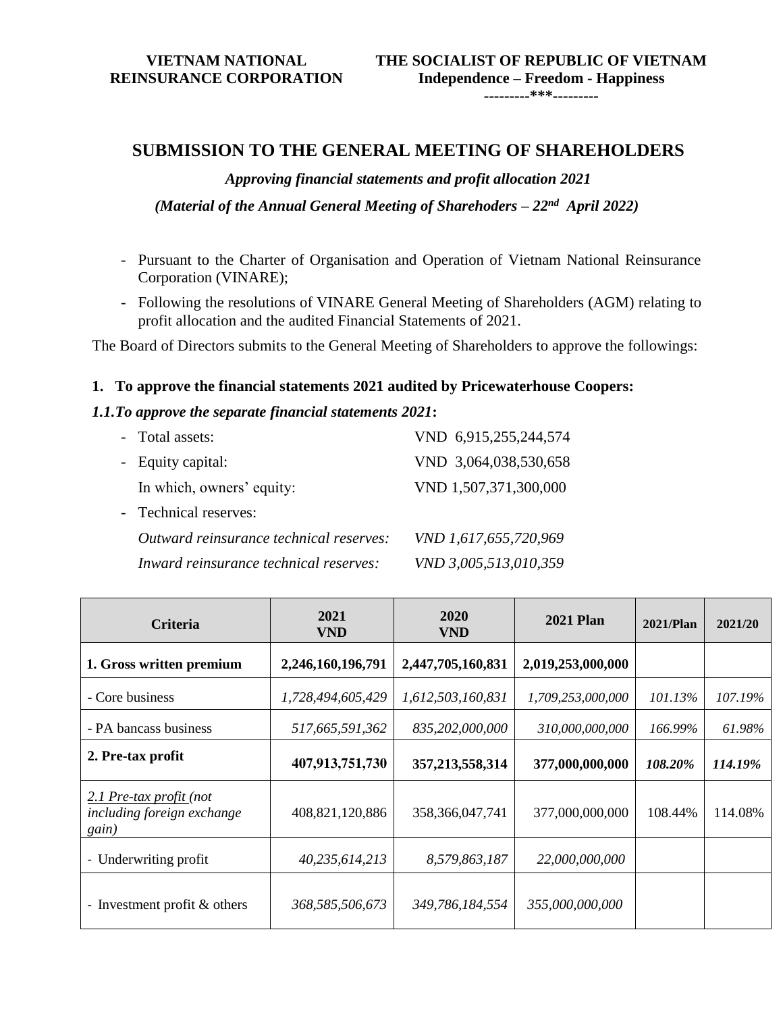**VIETNAM NATIONAL REINSURANCE CORPORATION**

**---------\*\*\*---------**

### **SUBMISSION TO THE GENERAL MEETING OF SHAREHOLDERS**

*Approving financial statements and profit allocation 2021* (Material of the Annual General Meeting of Sharehoders – 22<sup>nd</sup> April 2022)

- Pursuant to the Charter of Organisation and Operation of Vietnam National Reinsurance Corporation (VINARE);
- Following the resolutions of VINARE General Meeting of Shareholders (AGM) relating to profit allocation and the audited Financial Statements of 2021.

The Board of Directors submits to the General Meeting of Shareholders to approve the followings:

#### **1. To approve the financial statements 2021 audited by Pricewaterhouse Coopers:**

#### *1.1.To approve the separate financial statements 2021***:**

| - Total assets:                         | VND 6,915,255,244,574 |
|-----------------------------------------|-----------------------|
| - Equity capital:                       | VND 3,064,038,530,658 |
| In which, owners' equity:               | VND 1,507,371,300,000 |
| - Technical reserves:                   |                       |
| Outward reinsurance technical reserves: | VND 1,617,655,720,969 |
| Inward reinsurance technical reserves:  | VND 3,005,513,010,359 |

| <b>Criteria</b>                                                | 2021<br>VND       | 2020<br><b>VND</b> | <b>2021 Plan</b>  | $2021$ /Plan | 2021/20 |
|----------------------------------------------------------------|-------------------|--------------------|-------------------|--------------|---------|
| 1. Gross written premium                                       | 2,246,160,196,791 | 2,447,705,160,831  | 2,019,253,000,000 |              |         |
| - Core business                                                | 1,728,494,605,429 | 1,612,503,160,831  | 1,709,253,000,000 | 101.13%      | 107.19% |
| - PA bancass business                                          | 517,665,591,362   | 835,202,000,000    | 310,000,000,000   | 166.99%      | 61.98%  |
| 2. Pre-tax profit                                              | 407,913,751,730   | 357, 213, 558, 314 | 377,000,000,000   | 108.20%      | 114.19% |
| 2.1 Pre-tax profit (not<br>including foreign exchange<br>gain) | 408,821,120,886   | 358, 366, 047, 741 | 377,000,000,000   | 108.44%      | 114.08% |
| - Underwriting profit                                          | 40,235,614,213    | 8,579,863,187      | 22,000,000,000    |              |         |
| - Investment profit & others                                   | 368,585,506,673   | 349,786,184,554    | 355,000,000,000   |              |         |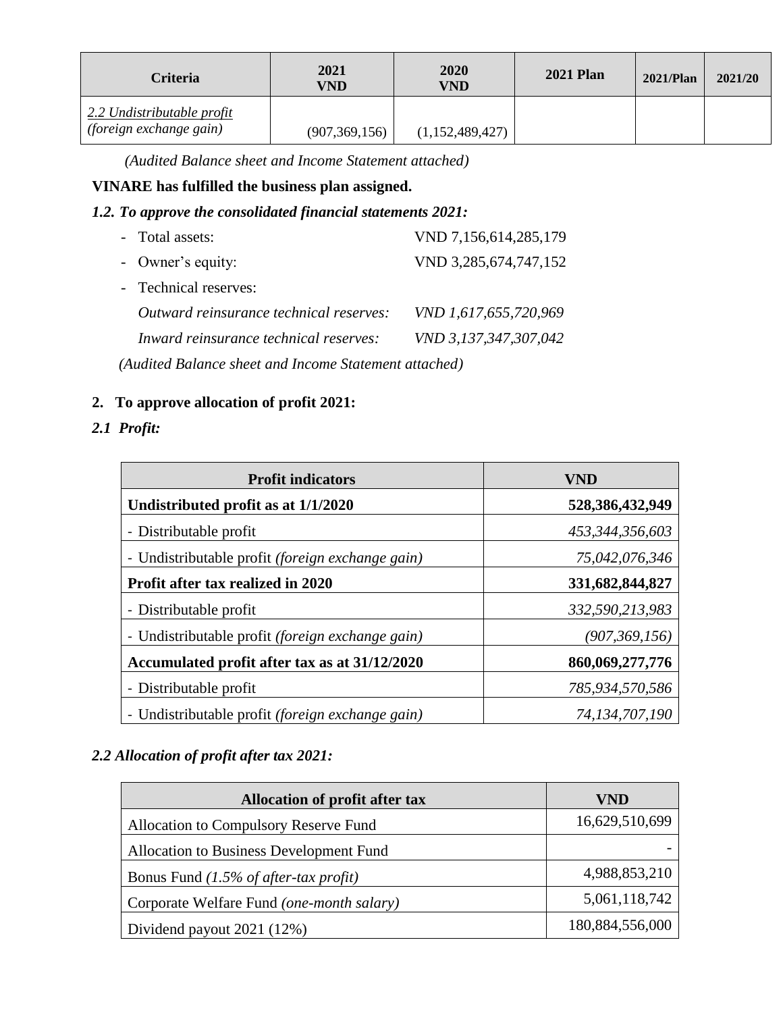| <b>Criteria</b>                                              | 2021<br>VND     | <b>2020</b><br>VND | <b>2021 Plan</b> | $2021$ /Plan | 2021/20 |
|--------------------------------------------------------------|-----------------|--------------------|------------------|--------------|---------|
| 2.2 Undistributable profit<br><i>(foreign exchange gain)</i> | (907, 369, 156) | (1,152,489,427)    |                  |              |         |

*(Audited Balance sheet and Income Statement attached)*

### **VINARE has fulfilled the business plan assigned.**

#### *1.2. To approve the consolidated financial statements 2021:*

| - Total assets:                                                                                                                                                                                                                                                                       | VND 7,156,614,285,179 |  |
|---------------------------------------------------------------------------------------------------------------------------------------------------------------------------------------------------------------------------------------------------------------------------------------|-----------------------|--|
| - Owner's equity:                                                                                                                                                                                                                                                                     | VND 3,285,674,747,152 |  |
| - Technical reserves:                                                                                                                                                                                                                                                                 |                       |  |
| Outward reinsurance technical reserves:                                                                                                                                                                                                                                               | VND 1,617,655,720,969 |  |
| Inward reinsurance technical reserves:                                                                                                                                                                                                                                                | VND 3,137,347,307,042 |  |
| $(A_1, B_2, A_3, B_4, A_5, A_6, A_7, A_7, A_8, A_9, A_9, A_1, A_1, A_2, A_1, A_1, A_2, A_3, A_1, A_1, A_2, A_1, A_1, A_2, A_1, A_2, A_3, A_1, A_2, A_3, A_1, A_2, A_3, A_1, A_2, A_3, A_1, A_2, A_3, A_1, A_2, A_3, A_1, A_2, A_3, A_1, A_2, A_3, A_1, A_2, A_3, A_1, A_2, A_3, A_1,$ |                       |  |

*(Audited Balance sheet and Income Statement attached)*

### **2. To approve allocation of profit 2021:**

### *2.1 Profit:*

| <b>Profit indicators</b>                                | VND               |
|---------------------------------------------------------|-------------------|
| Undistributed profit as at 1/1/2020                     | 528,386,432,949   |
| - Distributable profit                                  | 453,344,356,603   |
| - Undistributable profit <i>(foreign exchange gain)</i> | 75,042,076,346    |
| Profit after tax realized in 2020                       | 331,682,844,827   |
| - Distributable profit                                  | 332,590,213,983   |
| - Undistributable profit (foreign exchange gain)        | (907, 369, 156)   |
| Accumulated profit after tax as at 31/12/2020           | 860,069,277,776   |
| - Distributable profit                                  | 785,934,570,586   |
| - Undistributable profit <i>(foreign exchange gain)</i> | 74, 134, 707, 190 |

# *2.2 Allocation of profit after tax 2021:*

| <b>Allocation of profit after tax</b>     | VND             |
|-------------------------------------------|-----------------|
| Allocation to Compulsory Reserve Fund     | 16,629,510,699  |
| Allocation to Business Development Fund   |                 |
| Bonus Fund $(1.5\%$ of after-tax profit)  | 4,988,853,210   |
| Corporate Welfare Fund (one-month salary) | 5,061,118,742   |
| Dividend payout 2021 (12%)                | 180,884,556,000 |